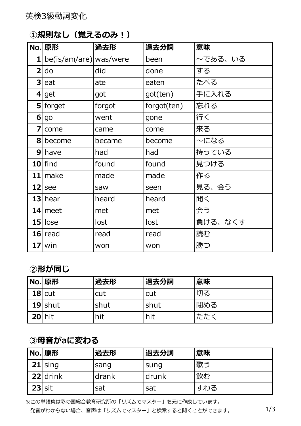### **①規則なし(覚えるのみ︕)**

|                | No. 原形                   | 過去形    | 過去分詞        | 意味      |
|----------------|--------------------------|--------|-------------|---------|
|                | 1 be(is/am/are) was/were |        | been        | ~である、いる |
| $\overline{2}$ | do                       | did    | done        | する      |
|                | $3$ eat                  | ate    | eaten       | たべる     |
|                | $4$ get                  | got    | got(ten)    | 手に入れる   |
|                | $5$ forget               | forgot | forgot(ten) | 忘れる     |
|                | 6 go                     | went   | gone        | 行く      |
|                | $7$ come                 | came   | come        | 来る      |
|                | 8 become                 | became | become      | ~になる    |
|                | $9$   have               | had    | had         | 持っている   |
|                | $10$  find               | found  | found       | 見つける    |
|                | $11$ make                | made   | made        | 作る      |
|                | $12$ see                 | saw    | seen        | 見る、会う   |
|                | $13$ hear                | heard  | heard       | 聞く      |
|                | $14$ meet                | met    | met         | 会う      |
|                | $15$ lose                | lost   | lost        | 負ける、なくす |
|                | $16$ read                | read   | read        | 読む      |
|                | $17$ win                 | won    | won         | 勝つ      |

#### **②形が同じ**

|            | No. 原形    | 過去形  | 過去分詞  | 意味  |
|------------|-----------|------|-------|-----|
|            | $18$ cut  | cut  | cut   | 切る  |
|            | $19$ shut | shut | lshut | 閉める |
| $20$   hit |           | hit  | hit   | たたく |

# **③⺟⾳がaに変わる**

|          | No. 原形    | 過去形   | 過去分詞  | 意味  |
|----------|-----------|-------|-------|-----|
|          | $21$ sing | sang  | sung  | 歌う  |
|          | 22 drink  | drank | drunk | 飲む  |
| $23$ sit |           | sat   | sat   | すわる |

※この単語集は彩の国総合教育研究所の「リズムでマスター」を元に作成しています。 発音がわからない場合、音声は「リズムでマスター」と検索すると聞くことができます。 1/3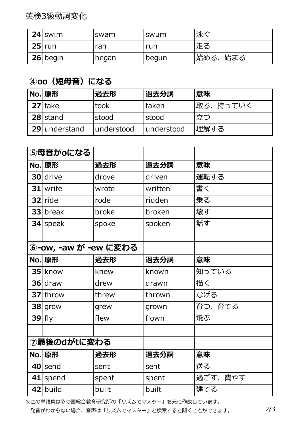英検3級動詞変化

| $24$ swim  | swam  | swum  | 泳ぐ       |
|------------|-------|-------|----------|
| $25$ run   | ran   | run   | 走る       |
| $26$ begin | began | begun | 始める、 始まる |

### **④oo(短⺟⾳)になる**

| No. 原形         | 過去形        | <b> 過去分詞</b> | 意味        |
|----------------|------------|--------------|-----------|
| $27$ take      | took       | taken        | '取る、持っていく |
| 28 stand       | stood      | stood        | 立つ        |
| 29 lunderstand | understood | lunderstood  | 理解する      |

|             | 5母音がoになる             |       |         |         |
|-------------|----------------------|-------|---------|---------|
|             | No. 原形               | 過去形   | 過去分詞    | 意味      |
|             | 30 drive             | drove | driven  | 運転する    |
|             | 31 write             | wrote | written | 書く      |
|             | $32$ ride            | rode  | ridden  | 乗る      |
|             | 33 break             | broke | broken  | 壊す      |
|             | $34$ speak           | spoke | spoken  | 話す      |
|             |                      |       |         |         |
|             | ⑥-ow, -aw が -ew に変わる |       |         |         |
|             | No. 原形               | 過去形   | 過去分詞    | 意味      |
|             | 35 know              | knew  | known   | 知っている   |
|             | 36 draw              | drew  | drawn   | 描く      |
|             | 37 throw             | threw | thrown  | なげる     |
|             | $38$ grow            | grew  | grown   | 育つ、育てる  |
| $39$ fly    |                      | flew  | flown   | 飛ぶ      |
|             |                      |       |         |         |
| ⑦最後のdがtに変わる |                      |       |         |         |
|             | No. 原形               | 過去形   | 過去分詞    | 意味      |
|             | 40 send              | sent  | sent    | 送る      |
| 41          | spend                | spent | spent   | 過ごす、費やす |
|             | 42 build             | built | built   | 建てる     |

※この単語集は彩の国総合教育研究所の「リズムでマスター」を元に作成しています。

発音がわからない場合、音声は「リズムでマスター」と検索すると聞くことができます。 2/3